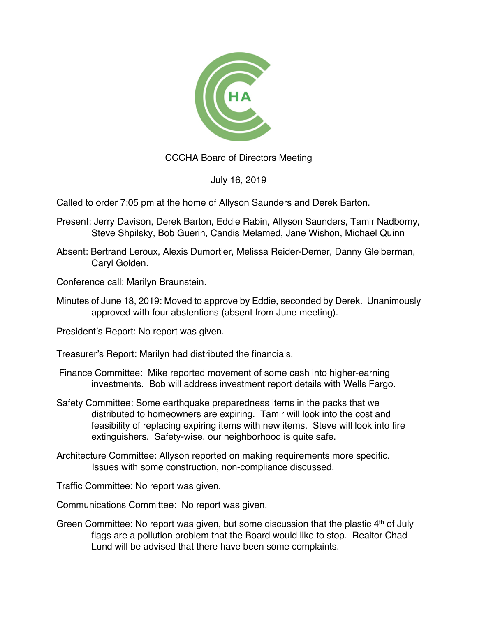

CCCHA Board of Directors Meeting

July 16, 2019

Called to order 7:05 pm at the home of Allyson Saunders and Derek Barton.

- Present: Jerry Davison, Derek Barton, Eddie Rabin, Allyson Saunders, Tamir Nadborny, Steve Shpilsky, Bob Guerin, Candis Melamed, Jane Wishon, Michael Quinn
- Absent: Bertrand Leroux, Alexis Dumortier, Melissa Reider-Demer, Danny Gleiberman, Caryl Golden.

Conference call: Marilyn Braunstein.

Minutes of June 18, 2019: Moved to approve by Eddie, seconded by Derek. Unanimously approved with four abstentions (absent from June meeting).

President's Report: No report was given.

Treasurer's Report: Marilyn had distributed the financials.

- Finance Committee: Mike reported movement of some cash into higher-earning investments. Bob will address investment report details with Wells Fargo.
- Safety Committee: Some earthquake preparedness items in the packs that we distributed to homeowners are expiring. Tamir will look into the cost and feasibility of replacing expiring items with new items. Steve will look into fire extinguishers. Safety-wise, our neighborhood is quite safe.
- Architecture Committee: Allyson reported on making requirements more specific. Issues with some construction, non-compliance discussed.

Traffic Committee: No report was given.

Communications Committee: No report was given.

Green Committee: No report was given, but some discussion that the plastic  $4<sup>th</sup>$  of July flags are a pollution problem that the Board would like to stop. Realtor Chad Lund will be advised that there have been some complaints.